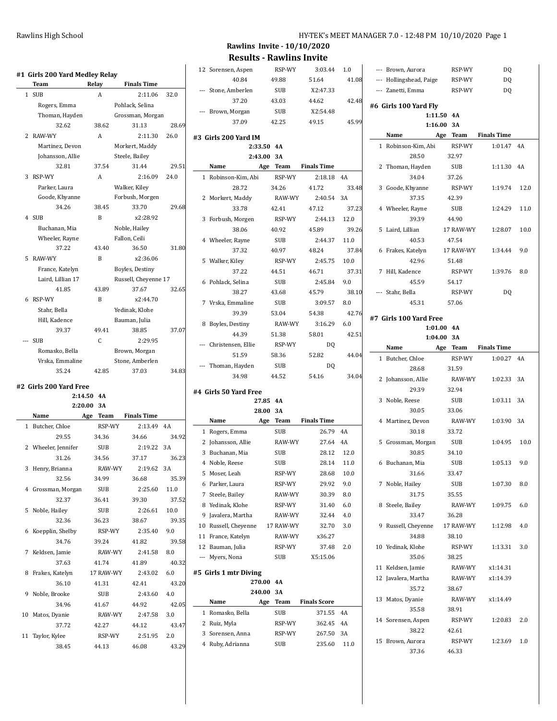**Rawlins Invite - 10/10/2020 Results - Rawlins Invite**

| #1 Girls 200 Yard Medley Relay |                 |                      |       | 12 Sorensen, Aspen     | RSP-WY      | 3:03.44             | 1.0   | --- Brown, Aurora       | RSP-WY                     | DQ                 |       |
|--------------------------------|-----------------|----------------------|-------|------------------------|-------------|---------------------|-------|-------------------------|----------------------------|--------------------|-------|
| Team                           | Relay           | <b>Finals Time</b>   |       | 40.84                  | 49.88       | 51.64               | 41.08 | --- Hollingshead, Paige | RSP-WY                     | DQ                 |       |
| 1 SUB                          | A               | 2:11.06              | 32.0  | --- Stone, Amberlen    | <b>SUB</b>  | X2:47.33            |       | --- Zanetti, Emma       | RSP-WY                     | DQ                 |       |
| Rogers, Emma                   |                 | Pohlack, Selina      |       | 37.20                  | 43.03       | 44.62               | 42.48 | #6 Girls 100 Yard Fly   |                            |                    |       |
| Thoman, Hayden                 |                 | Grossman, Morgan     |       | --- Brown, Morgan      | <b>SUB</b>  | X2:54.48            |       |                         | 1:11.50 4A                 |                    |       |
| 32.62                          | 38.62           | 31.13                | 28.69 | 37.09                  | 42.25       | 49.15               | 45.99 |                         | 1:16.00 3A                 |                    |       |
| 2 RAW-WY                       | A               | 2:11.30              | 26.0  |                        |             |                     |       | Name                    | Age Team                   | <b>Finals Time</b> |       |
| Martinez, Devon                |                 | Morkert, Maddy       |       | #3 Girls 200 Yard IM   | 2:33.50 4A  |                     |       | 1 Robinson-Kim, Abi     | RSP-WY                     | 1:01.47 4A         |       |
| Johansson, Allie               |                 | Steele, Bailey       |       |                        | 2:43.00 3A  |                     |       | 28.50                   | 32.97                      |                    |       |
| 32.81                          | 37.54           | 31.44                | 29.51 | Name                   | Age<br>Team | <b>Finals Time</b>  |       | 2 Thoman, Hayden        | <b>SUB</b>                 |                    |       |
| 3 RSP-WY                       | A               | 2:16.09              | 24.0  |                        |             |                     |       |                         |                            | 1:11.30 4A         |       |
|                                |                 |                      |       | 1 Robinson-Kim, Abi    | RSP-WY      | 2:18.18 4A          |       | 34.04                   | 37.26                      |                    |       |
| Parker, Laura                  |                 | Walker, Kiley        |       | 28.72                  | 34.26       | 41.72               | 33.48 | 3 Goode, Khyanne        | RSP-WY                     | 1:19.74            | 12.0  |
| Goode, Khyanne                 |                 | Forbush, Morgen      |       | 2 Morkert, Maddy       | RAW-WY      | 2:40.54 3A          |       | 37.35                   | 42.39                      |                    |       |
| 34.26                          | 38.45           | 33.70                | 29.68 | 33.78                  | 42.41       | 47.12               | 37.23 | 4 Wheeler, Rayne        | <b>SUB</b>                 | 1:24.29            | 11.0  |
| 4 SUB                          | B               | x2:28.92             |       | 3 Forbush, Morgen      | RSP-WY      | 2:44.13             | 12.0  | 39.39                   | 44.90                      |                    |       |
| Buchanan, Mia                  |                 | Noble, Hailey        |       | 38.06                  | 40.92       | 45.89               | 39.26 | 5 Laird, Lillian        | 17 RAW-WY                  | 1:28.07            | 10.0  |
| Wheeler, Rayne                 |                 | Fallon, Ceili        |       | 4 Wheeler, Rayne       | <b>SUB</b>  | 2:44.37             | 11.0  | 40.53                   | 47.54                      |                    |       |
| 37.22                          | 43.40           | 36.50                | 31.80 | 37.32                  | 40.97       | 48.24               | 37.84 | 6 Frakes, Katelyn       | 17 RAW-WY                  | 1:34.44            | 9.0   |
| 5 RAW-WY                       | B               | x2:36.06             |       | 5 Walker, Kiley        | RSP-WY      | 2:45.75             | 10.0  | 42.96                   | 51.48                      |                    |       |
| France, Katelyn                |                 | Boyles, Destiny      |       | 37.22                  | 44.51       | 46.71               | 37.31 | 7 Hill. Kadence         | RSP-WY                     | 1:39.76            | - 8.0 |
| Laird, Lillian 17              |                 | Russell, Cheyenne 17 |       | 6 Pohlack, Selina      | <b>SUB</b>  | 2:45.84             | 9.0   | 45.59                   | 54.17                      |                    |       |
| 41.85                          | 43.89           | 37.67                | 32.65 | 38.27                  | 43.68       | 45.79               | 38.10 | --- Stahr, Bella        | RSP-WY                     | DQ                 |       |
| 6 RSP-WY                       | B               | x2:44.70             |       | 7 Vrska, Emmaline      | <b>SUB</b>  | 3:09.57             | 8.0   | 45.31                   | 57.06                      |                    |       |
| Stahr, Bella                   |                 | Yedinak, Klohe       |       | 39.39                  | 53.04       | 54.38               | 42.76 |                         |                            |                    |       |
| Hill, Kadence                  |                 | Bauman, Julia        |       | 8 Boyles, Destiny      | RAW-WY      | 3:16.29             | 6.0   | #7 Girls 100 Yard Free  |                            |                    |       |
| 39.37                          | 49.41           | 38.85                | 37.07 | 44.39                  | 51.38       | 58.01               | 42.51 |                         | 1:01.00 4A<br>$1:04.00$ 3A |                    |       |
| --- SUB                        | $\mathsf{C}$    | 2:29.95              |       | --- Christensen, Ellie | RSP-WY      | DQ                  |       | Name                    |                            | <b>Finals Time</b> |       |
| Romasko, Bella                 |                 | Brown, Morgan        |       | 51.59                  | 58.36       | 52.82               | 44.04 |                         | Age Team                   |                    |       |
| Vrska, Emmaline                |                 | Stone, Amberlen      |       | --- Thoman, Hayden     | <b>SUB</b>  | DQ                  |       | 1 Butcher, Chloe        | RSP-WY                     | 1:00.27 4A         |       |
| 35.24                          | 42.85           | 37.03                | 34.83 | 34.98                  | 44.52       | 54.16               | 34.04 | 28.68                   | 31.59                      |                    |       |
| #2 Girls 200 Yard Free         |                 |                      |       |                        |             |                     |       | 2 Johansson, Allie      | RAW-WY                     | 1:02.33 3A         |       |
|                                | 2:14.50 4A      |                      |       | #4 Girls 50 Yard Free  |             |                     |       | 29.39                   | 32.94                      |                    |       |
|                                | 2:20.00 3A      |                      |       |                        | 27.85 4A    |                     |       | 3 Noble, Reese          | <b>SUB</b>                 | 1:03.11 3A         |       |
| Name                           | Age Team        | <b>Finals Time</b>   |       |                        | 28.00 3A    |                     |       | 30.05                   | 33.06                      |                    |       |
| 1 Butcher, Chloe               | RSP-WY          | 2:13.49 4A           |       | Name                   | Age Team    | <b>Finals Time</b>  |       | 4 Martinez, Devon       | RAW-WY                     | 1:03.90 3A         |       |
| 29.55                          | 34.36           | 34.66                | 34.92 | 1 Rogers, Emma         | <b>SUB</b>  | 26.79 4A            |       | 30.18                   | 33.72                      |                    |       |
| 2 Wheeler, Jennifer            | <b>SUB</b>      | 2:19.22 3A           |       | 2 Johansson, Allie     | RAW-WY      | 27.64 4A            |       | 5 Grossman, Morgan      | <b>SUB</b>                 | 1:04.95            | 10.0  |
| 31.26                          | 34.56           | 37.17                | 36.23 | 3 Buchanan, Mia        | <b>SUB</b>  | 28.12               | 12.0  | 30.85                   | 34.10                      |                    |       |
| 3 Henry, Brianna               | RAW-WY          | 2:19.62 3A           |       | 4 Noble, Reese         | <b>SUB</b>  | 28.14               | 11.0  | 6 Buchanan, Mia         | <b>SUB</b>                 | $1:05.13$ 9.0      |       |
| 32.56                          | 34.99           | 36.68                | 35.39 | 5 Moser, Leah          | RSP-WY      | 28.68               | 10.0  | 31.66                   | 33.47                      |                    |       |
| 4 Grossman, Morgan             | <b>SUB</b>      | 2:25.60              | 11.0  | 6 Parker, Laura        | RSP-WY      | 29.92               | 9.0   | 7 Noble, Hailey         | SUB                        | 1:07.30 8.0        |       |
| 32.37                          | 36.41           | 39.30                | 37.52 | 7 Steele, Bailey       | RAW-WY      | 30.39               | 8.0   | 31.75                   | 35.55                      |                    |       |
| 5 Noble, Hailey                | <b>SUB</b>      | 2:26.61              | 10.0  | 8 Yedinak, Klohe       | RSP-WY      | 31.40               | 6.0   | 8 Steele, Bailey        | RAW-WY                     | 1:09.75            | 6.0   |
| 32.36                          |                 | 38.67                | 39.35 | 9 Javalera, Martha     | RAW-WY      | 32.44               | 4.0   | 33.47                   | 36.28                      |                    |       |
|                                | 36.23<br>RSP-WY |                      |       | 10 Russell, Cheyenne   | 17 RAW-WY   | 32.70               | 3.0   | 9 Russell, Cheyenne     | 17 RAW-WY                  | 1:12.98            | -4.0  |
| 6 Koepplin, Shelby             |                 | 2:35.40              | 9.0   | 11 France, Katelyn     | RAW-WY      | x36.27              |       | 34.88                   | 38.10                      |                    |       |
| 34.76                          | 39.24           | 41.82                | 39.58 | 12 Bauman, Julia       | RSP-WY      | 37.48               | 2.0   | 10 Yedinak, Klohe       | RSP-WY                     | 1:13.31 3.0        |       |
| 7 Keldsen, Jamie               | RAW-WY          | 2:41.58              | 8.0   | --- Myers, Nona        | <b>SUB</b>  | X5:15.06            |       | 35.06                   | 38.25                      |                    |       |
| 37.63                          | 41.74           | 41.89                | 40.32 |                        |             |                     |       | 11 Keldsen, Jamie       | RAW-WY                     | x1:14.31           |       |
| 8 Frakes, Katelyn              | 17 RAW-WY       | 2:43.02              | 6.0   | #5 Girls 1 mtr Diving  |             |                     |       | 12 Javalera, Martha     | RAW-WY                     | x1:14.39           |       |
| 36.10                          | 41.31           | 42.41                | 43.20 |                        | 270.00 4A   |                     |       | 35.72                   | 38.67                      |                    |       |
| 9 Noble, Brooke                | <b>SUB</b>      | 2:43.60              | 4.0   |                        | 240.00 3A   |                     |       | 13 Matos, Dyanie        | RAW-WY                     | x1:14.49           |       |
| 34.96                          | 41.67           | 44.92                | 42.05 | Name                   | Age Team    | <b>Finals Score</b> |       | 35.58                   | 38.91                      |                    |       |
| 10 Matos, Dyanie               | RAW-WY          | 2:47.58              | 3.0   | 1 Romasko, Bella       | SUB         | 371.55 4A           |       | 14 Sorensen, Aspen      | RSP-WY                     | 1:20.83 2.0        |       |
| 37.72                          | 42.27           | 44.12                | 43.47 | 2 Ruiz, Myla           | RSP-WY      | 362.45 4A           |       | 38.22                   | 42.61                      |                    |       |
| 11 Taylor, Kylee               | RSP-WY          | 2:51.95              | 2.0   | 3 Sorensen, Anna       | RSP-WY      | 267.50 3A           |       | 15 Brown, Aurora        | RSP-WY                     | 1:23.69            | 1.0   |
| 38.45                          | 44.13           | 46.08                | 43.29 | 4 Ruby, Adrianna       | <b>SUB</b>  | 235.60              | 11.0  | 37.36                   | 46.33                      |                    |       |
|                                |                 |                      |       |                        |             |                     |       |                         |                            |                    |       |
|                                |                 |                      |       |                        |             |                     |       |                         |                            |                    |       |